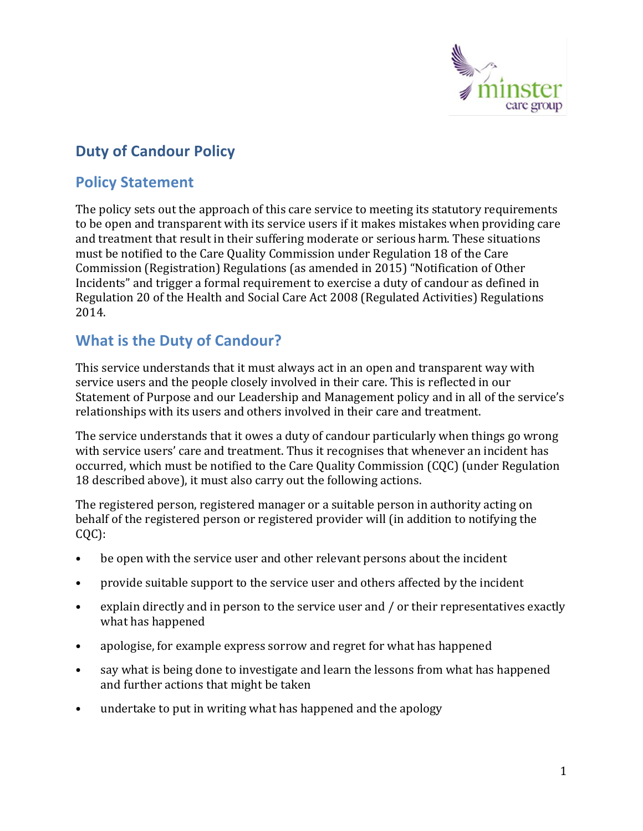

## **Duty of Candour Policy**

## **Policy Statement**

The policy sets out the approach of this care service to meeting its statutory requirements to be open and transparent with its service users if it makes mistakes when providing care and treatment that result in their suffering moderate or serious harm. These situations must be notified to the Care Quality Commission under Regulation 18 of the Care Commission (Registration) Regulations (as amended in 2015) "Notification of Other Incidents" and trigger a formal requirement to exercise a duty of candour as defined in Regulation 20 of the Health and Social Care Act 2008 (Regulated Activities) Regulations 2014.

## **What is the Duty of Candour?**

This service understands that it must always act in an open and transparent way with service users and the people closely involved in their care. This is reflected in our Statement of Purpose and our Leadership and Management policy and in all of the service's relationships with its users and others involved in their care and treatment.

The service understands that it owes a duty of candour particularly when things go wrong with service users' care and treatment. Thus it recognises that whenever an incident has occurred, which must be notified to the Care Quality Commission (CQC) (under Regulation 18 described above), it must also carry out the following actions.

The registered person, registered manager or a suitable person in authority acting on behalf of the registered person or registered provider will (in addition to notifying the CQC):

- be open with the service user and other relevant persons about the incident
- provide suitable support to the service user and others affected by the incident
- explain directly and in person to the service user and / or their representatives exactly what has happened
- apologise, for example express sorrow and regret for what has happened
- say what is being done to investigate and learn the lessons from what has happened and further actions that might be taken
- undertake to put in writing what has happened and the apology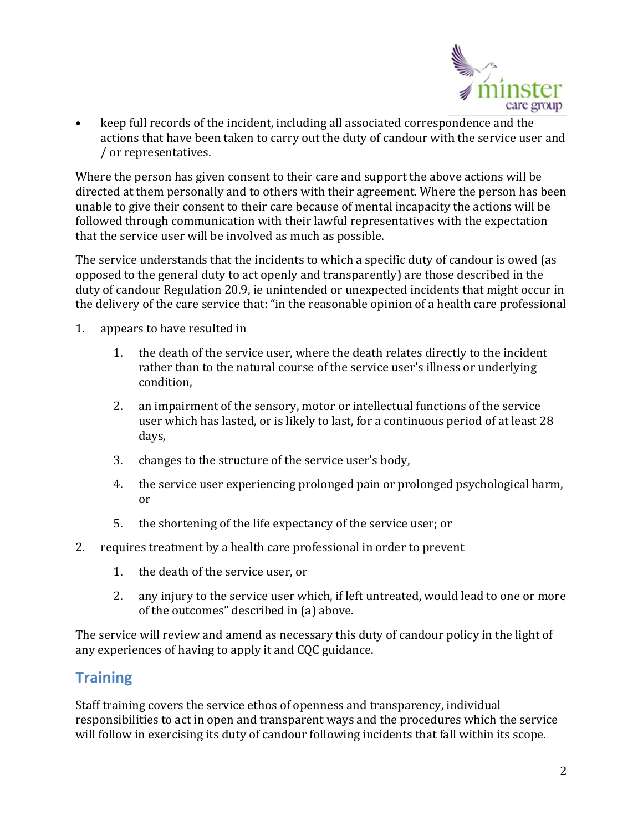

keep full records of the incident, including all associated correspondence and the actions that have been taken to carry out the duty of candour with the service user and / or representatives.

Where the person has given consent to their care and support the above actions will be directed at them personally and to others with their agreement. Where the person has been unable to give their consent to their care because of mental incapacity the actions will be followed through communication with their lawful representatives with the expectation that the service user will be involved as much as possible.

The service understands that the incidents to which a specific duty of candour is owed (as opposed to the general duty to act openly and transparently) are those described in the duty of candour Regulation 20.9, ie unintended or unexpected incidents that might occur in the delivery of the care service that: "in the reasonable opinion of a health care professional

- 1. appears to have resulted in
	- 1. the death of the service user, where the death relates directly to the incident rather than to the natural course of the service user's illness or underlying condition,
	- 2. an impairment of the sensory, motor or intellectual functions of the service user which has lasted, or is likely to last, for a continuous period of at least 28 days,
	- 3. changes to the structure of the service user's body,
	- 4. the service user experiencing prolonged pain or prolonged psychological harm, or
	- 5. the shortening of the life expectancy of the service user; or
- 2. requires treatment by a health care professional in order to prevent
	- 1. the death of the service user, or
	- 2. any injury to the service user which, if left untreated, would lead to one or more of the outcomes" described in (a) above.

The service will review and amend as necessary this duty of candour policy in the light of any experiences of having to apply it and CQC guidance.

## **Training**

Staff training covers the service ethos of openness and transparency, individual responsibilities to act in open and transparent ways and the procedures which the service will follow in exercising its duty of candour following incidents that fall within its scope.